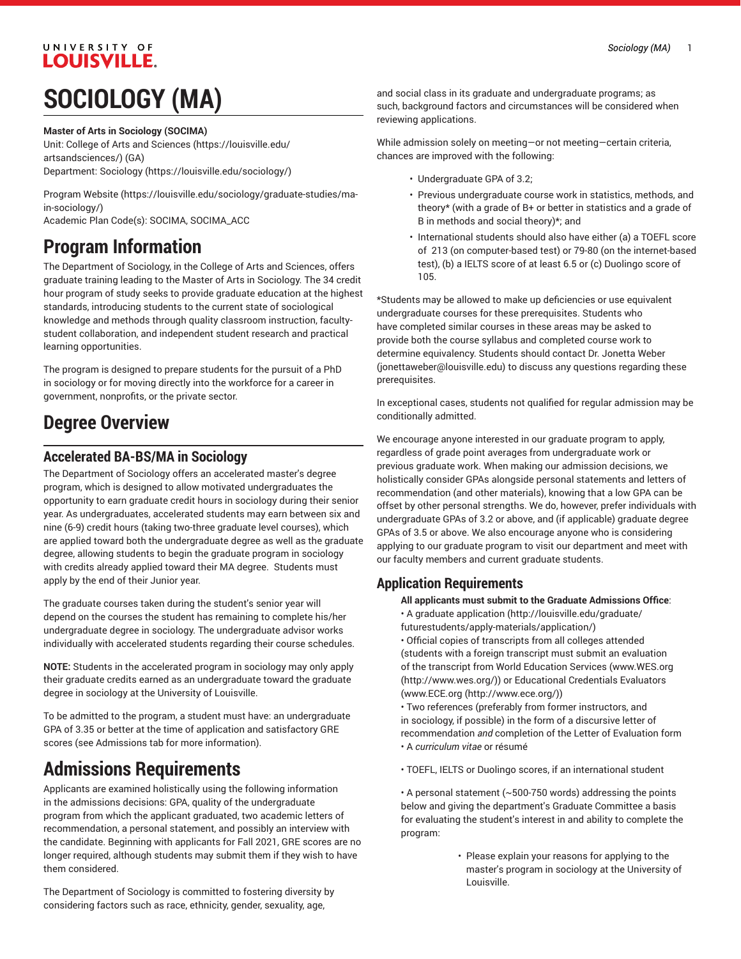# UNIVERSITY OF LOUISVILLE.

# **SOCIOLOGY (MA)**

#### **Master of Arts in Sociology (SOCIMA)**

Unit: College of Arts and [Sciences \(https://louisville.edu/](https://louisville.edu/artsandsciences/) [artsandsciences/\)](https://louisville.edu/artsandsciences/) (GA) Department: [Sociology](https://louisville.edu/sociology/) (<https://louisville.edu/sociology/>)

[Program](https://louisville.edu/sociology/graduate-studies/ma-in-sociology/) Website [\(https://louisville.edu/sociology/graduate-studies/ma](https://louisville.edu/sociology/graduate-studies/ma-in-sociology/)[in-sociology/\)](https://louisville.edu/sociology/graduate-studies/ma-in-sociology/)

Academic Plan Code(s): SOCIMA, SOCIMA\_ACC

### **Program Information**

The Department of Sociology, in the College of Arts and Sciences, offers graduate training leading to the Master of Arts in Sociology. The 34 credit hour program of study seeks to provide graduate education at the highest standards, introducing students to the current state of sociological knowledge and methods through quality classroom instruction, facultystudent collaboration, and independent student research and practical learning opportunities.

The program is designed to prepare students for the pursuit of a PhD in sociology or for moving directly into the workforce for a career in government, nonprofits, or the private sector.

# **Degree Overview**

#### **Accelerated BA-BS/MA in Sociology**

The Department of Sociology offers an accelerated master's degree program, which is designed to allow motivated undergraduates the opportunity to earn graduate credit hours in sociology during their senior year. As undergraduates, accelerated students may earn between six and nine (6-9) credit hours (taking two-three graduate level courses), which are applied toward both the undergraduate degree as well as the graduate degree, allowing students to begin the graduate program in sociology with credits already applied toward their MA degree. Students must apply by the end of their Junior year.

The graduate courses taken during the student's senior year will depend on the courses the student has remaining to complete his/her undergraduate degree in sociology. The undergraduate advisor works individually with accelerated students regarding their course schedules.

**NOTE:** Students in the accelerated program in sociology may only apply their graduate credits earned as an undergraduate toward the graduate degree in sociology at the University of Louisville.

To be admitted to the program, a student must have: an undergraduate GPA of 3.35 or better at the time of application and satisfactory GRE scores (see Admissions tab for more information).

## **Admissions Requirements**

Applicants are examined holistically using the following information in the admissions decisions: GPA, quality of the undergraduate program from which the applicant graduated, two academic letters of recommendation, a personal statement, and possibly an interview with the candidate. Beginning with applicants for Fall 2021, GRE scores are no longer required, although students may submit them if they wish to have them considered.

The Department of Sociology is committed to fostering diversity by considering factors such as race, ethnicity, gender, sexuality, age,

and social class in its graduate and undergraduate programs; as such, background factors and circumstances will be considered when reviewing applications.

While admission solely on meeting—or not meeting—certain criteria, chances are improved with the following:

- Undergraduate GPA of 3.2;
- Previous undergraduate course work in statistics, methods, and theory\* (with a grade of B+ or better in statistics and a grade of B in methods and social theory)\*; and
- International students should also have either (a) a TOEFL score of 213 (on computer-based test) or 79-80 (on the internet-based test), (b) a IELTS score of at least 6.5 or (c) Duolingo score of 105.

\*Students may be allowed to make up deficiencies or use equivalent undergraduate courses for these prerequisites. Students who have completed similar courses in these areas may be asked to provide both the course syllabus and completed course work to determine equivalency. Students should contact Dr. [Jonetta](mailto:jonettaweber@louisville.edu) Weber [\(jonettaweber@louisville.edu](jonettaweber@louisville.edu)) to discuss any questions regarding these prerequisites.

In exceptional cases, students not qualified for regular admission may be conditionally admitted.

We encourage anyone interested in our graduate program to apply, regardless of grade point averages from undergraduate work or previous graduate work. When making our admission decisions, we holistically consider GPAs alongside personal statements and letters of recommendation (and other materials), knowing that a low GPA can be offset by other personal strengths. We do, however, prefer individuals with undergraduate GPAs of 3.2 or above, and (if applicable) graduate degree GPAs of 3.5 or above. We also encourage anyone who is considering applying to our graduate program to visit our department and meet with our faculty members and current graduate students.

### **Application Requirements**

**All applicants must submit to the Graduate Admissions Office**:

- A [graduate application](http://louisville.edu/graduate/futurestudents/apply-materials/application/) ([http://louisville.edu/graduate/](http://louisville.edu/graduate/futurestudents/apply-materials/application/)
- [futurestudents/apply-materials/application/\)](http://louisville.edu/graduate/futurestudents/apply-materials/application/)
- Official copies of transcripts from all colleges attended (students with a foreign transcript must submit an evaluation of the transcript from World Education Services [\(www.WES.org](http://www.wes.org/) [\(http://www.wes.org/\)](http://www.wes.org/)) or Educational Credentials Evaluators [\(www.ECE.org](http://www.ece.org/) ([http://www.ece.org/\)](http://www.ece.org/))

• Two references (preferably from former instructors, and in sociology, if possible) in the form of a discursive letter of recommendation *and* completion of the Letter of Evaluation form • A *curriculum vitae* or résumé

• TOEFL, IELTS or Duolingo scores, if an international student

• A personal statement (~500-750 words) addressing the points below and giving the department's Graduate Committee a basis for evaluating the student's interest in and ability to complete the program:

> • Please explain your reasons for applying to the master's program in sociology at the University of Louisville.